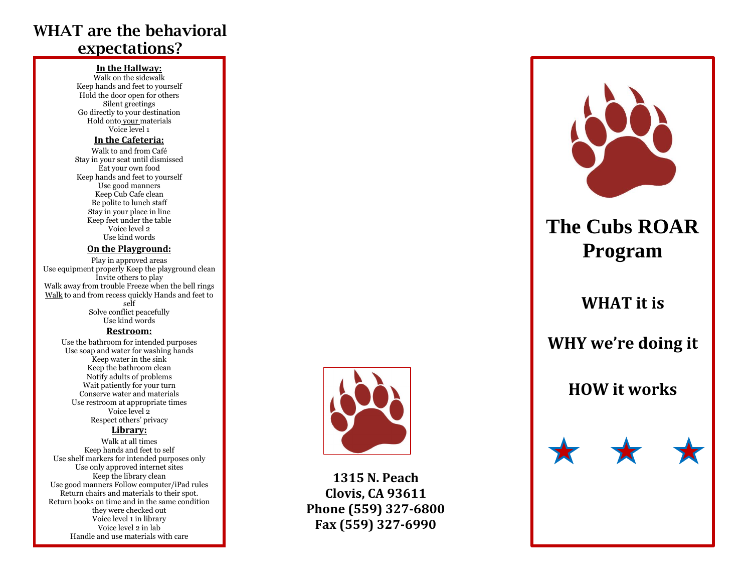## WHAT are the behavioral expectations?

### **In the Hallway:**

Walk on the sidewalk Keep hands and feet to yourself Hold the door open for others Silent greetings Go directly to your destination Hold onto your materials Voice level 1

#### **In the Cafeteria:**

Walk to and from Café Stay in your seat until dismissed Eat your own food Keep hands and feet to yourself Use good manners Keep Cub Cafe clean Be polite to lunch staff Stay in your place in line Keep feet under the table Voice level 2 Use kind words

#### **On the Playground:**

Play in approved areas Use equipment properly Keep the playground clean Invite others to play Walk away from trouble Freeze when the bell rings Walk to and from recess quickly Hands and feet to self Solve conflict peacefully Use kind words

### **Restroom:**

Use the bathroom for intended purposes Use soap and water for washing hands Keep water in the sink Keep the bathroom clean Notify adults of problems Wait patiently for your turn Conserve water and materials Use restroom at appropriate times Voice level 2 Respect others' privacy

### **Library:**

Walk at all times Keep hands and feet to self Use shelf markers for intended purposes only Use only approved internet sites Keep the library clean Use good manners Follow computer/iPad rules Return chairs and materials to their spot. Return books on time and in the same condition they were checked out Voice level 1 in library Voice level 2 in lab Handle and use materials with care



**1315 N. Peach Clovis, CA 93611 Phone (559) 327 -6800 Fax (559) 327 -6990**



# **The Cubs ROAR Program**

## **WHAT it is**

## **WHY we're doing it**

## **HOW it works**